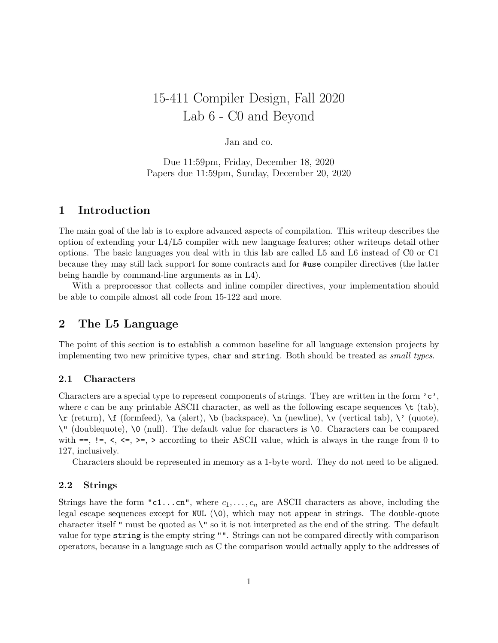# 15-411 Compiler Design, Fall 2020 Lab 6 - C0 and Beyond

# Jan and co.

Due 11:59pm, Friday, December 18, 2020 Papers due 11:59pm, Sunday, December 20, 2020

# 1 Introduction

The main goal of the lab is to explore advanced aspects of compilation. This writeup describes the option of extending your L4/L5 compiler with new language features; other writeups detail other options. The basic languages you deal with in this lab are called L5 and L6 instead of C0 or C1 because they may still lack support for some contracts and for #use compiler directives (the latter being handle by command-line arguments as in L4).

With a preprocessor that collects and inline compiler directives, your implementation should be able to compile almost all code from 15-122 and more.

# 2 The L5 Language

The point of this section is to establish a common baseline for all language extension projects by implementing two new primitive types, char and string. Both should be treated as small types.

## 2.1 Characters

Characters are a special type to represent components of strings. They are written in the form  $^{\circ}c^{\circ}$ , where c can be any printable ASCII character, as well as the following escape sequences  $\setminus t$  (tab), \r (return), \f (formfeed), \a (alert), \b (backspace), \n (newline), \v (vertical tab), \' (quote), \" (doublequote), \0 (null). The default value for characters is \0. Characters can be compared with  $==, !=, <, <=, >=, >$  according to their ASCII value, which is always in the range from 0 to 127, inclusively.

Characters should be represented in memory as a 1-byte word. They do not need to be aligned.

#### 2.2 Strings

Strings have the form "c1...cn", where  $c_1, \ldots, c_n$  are ASCII characters as above, including the legal escape sequences except for NUL  $(\lambda 0)$ , which may not appear in strings. The double-quote character itself " must be quoted as  $\vee$ " so it is not interpreted as the end of the string. The default value for type string is the empty string "". Strings can not be compared directly with comparison operators, because in a language such as C the comparison would actually apply to the addresses of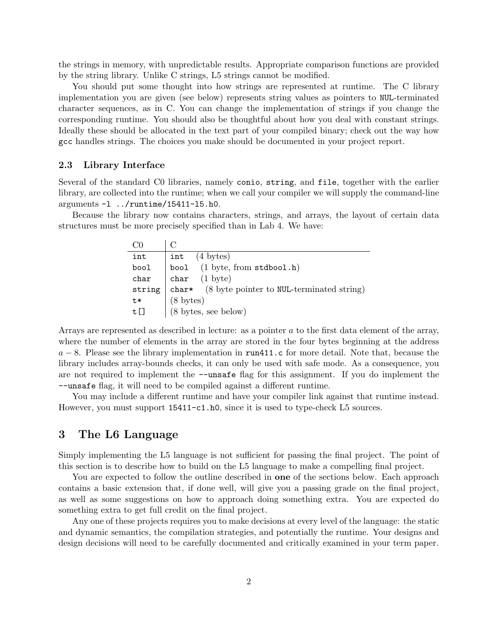the strings in memory, with unpredictable results. Appropriate comparison functions are provided by the string library. Unlike C strings, L5 strings cannot be modified.

You should put some thought into how strings are represented at runtime. The C library implementation you are given (see below) represents string values as pointers to NUL-terminated character sequences, as in C. You can change the implementation of strings if you change the corresponding runtime. You should also be thoughtful about how you deal with constant strings. Ideally these should be allocated in the text part of your compiled binary; check out the way how gcc handles strings. The choices you make should be documented in your project report.

#### 2.3 Library Interface

Several of the standard C0 libraries, namely conio, string, and file, together with the earlier library, are collected into the runtime; when we call your compiler we will supply the command-line arguments -l ../runtime/15411-l5.h0.

Because the library now contains characters, strings, and arrays, the layout of certain data structures must be more precisely specified than in Lab 4. We have:

| int    | $int$ (4 bytes)                                            |
|--------|------------------------------------------------------------|
| bool   | bool (1 byte, from stdbool.h)                              |
| char   | char $(1 \text{ byte})$                                    |
| string | char* $(8 \text{ byte pointer to NULL-terminated string})$ |
| t*     | $(8 \text{ bytes})$ $(8 \text{ bytes}, \text{see below})$  |
| t[]    |                                                            |

Arrays are represented as described in lecture: as a pointer  $a$  to the first data element of the array, where the number of elements in the array are stored in the four bytes beginning at the address  $a - 8$ . Please see the library implementation in run411.c for more detail. Note that, because the library includes array-bounds checks, it can only be used with safe mode. As a consequence, you are not required to implement the --unsafe flag for this assignment. If you do implement the --unsafe flag, it will need to be compiled against a different runtime.

You may include a different runtime and have your compiler link against that runtime instead. However, you must support 15411-c1.h0, since it is used to type-check L5 sources.

# 3 The L6 Language

Simply implementing the L5 language is not sufficient for passing the final project. The point of this section is to describe how to build on the L5 language to make a compelling final project.

You are expected to follow the outline described in **one** of the sections below. Each approach contains a basic extension that, if done well, will give you a passing grade on the final project, as well as some suggestions on how to approach doing something extra. You are expected do something extra to get full credit on the final project.

Any one of these projects requires you to make decisions at every level of the language: the static and dynamic semantics, the compilation strategies, and potentially the runtime. Your designs and design decisions will need to be carefully documented and critically examined in your term paper.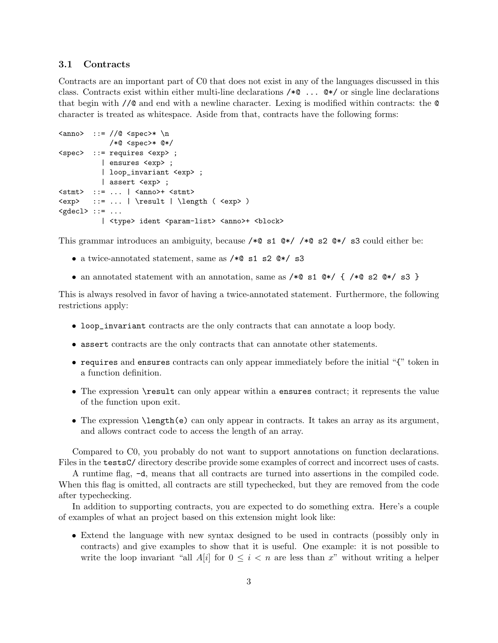#### 3.1 Contracts

Contracts are an important part of C0 that does not exist in any of the languages discussed in this class. Contracts exist within either multi-line declarations /\*@ ... @\*/ or single line declarations that begin with //@ and end with a newline character. Lexing is modified within contracts: the @ character is treated as whitespace. Aside from that, contracts have the following forms:

```
\langleanno> ::= //@ \langlespec>* \n
             /*@ <spec>* @*/
<spec> ::= requires <exp> ;
           | ensures <exp> ;
           | loop_invariant <exp> ;
           | assert <exp> ;
\text{555} : := ... | \text{56} \times \text{56}<exp> ::= ... | \result | \length ( <exp> )
<gdecl> ::= ...
           | <type> ident <param-list> <anno>+ <br/> <br/>block>
```
This grammar introduces an ambiguity, because / $*$  s1  $*$  / $*$  s2  $*$  s3 could either be:

- a twice-annotated statement, same as /\*@ s1 s2 @\*/ s3
- an annotated statement with an annotation, same as  $/*@$  s1  $@*/$   $(*@$  s2  $@*/$  s3 }

This is always resolved in favor of having a twice-annotated statement. Furthermore, the following restrictions apply:

- loop\_invariant contracts are the only contracts that can annotate a loop body.
- assert contracts are the only contracts that can annotate other statements.
- requires and ensures contracts can only appear immediately before the initial "{" token in a function definition.
- The expression **\result** can only appear within a ensures contract; it represents the value of the function upon exit.
- The expression \length(e) can only appear in contracts. It takes an array as its argument, and allows contract code to access the length of an array.

Compared to C0, you probably do not want to support annotations on function declarations. Files in the testsC/ directory describe provide some examples of correct and incorrect uses of casts.

A runtime flag, -d, means that all contracts are turned into assertions in the compiled code. When this flag is omitted, all contracts are still typechecked, but they are removed from the code after typechecking.

In addition to supporting contracts, you are expected to do something extra. Here's a couple of examples of what an project based on this extension might look like:

• Extend the language with new syntax designed to be used in contracts (possibly only in contracts) and give examples to show that it is useful. One example: it is not possible to write the loop invariant "all  $A[i]$  for  $0 \leq i < n$  are less than x" without writing a helper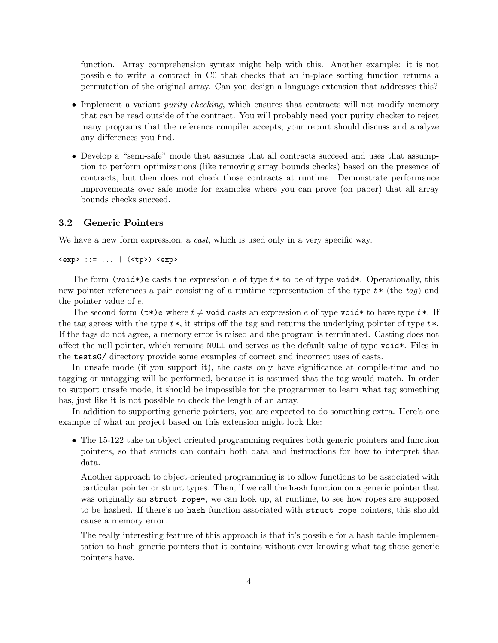function. Array comprehension syntax might help with this. Another example: it is not possible to write a contract in C0 that checks that an in-place sorting function returns a permutation of the original array. Can you design a language extension that addresses this?

- Implement a variant *purity checking*, which ensures that contracts will not modify memory that can be read outside of the contract. You will probably need your purity checker to reject many programs that the reference compiler accepts; your report should discuss and analyze any differences you find.
- Develop a "semi-safe" mode that assumes that all contracts succeed and uses that assumption to perform optimizations (like removing array bounds checks) based on the presence of contracts, but then does not check those contracts at runtime. Demonstrate performance improvements over safe mode for examples where you can prove (on paper) that all array bounds checks succeed.

#### 3.2 Generic Pointers

We have a new form expression, a *cast*, which is used only in a very specific way.

<exp> ::= ... | (<tp>) <exp>

The form (void\*)e casts the expression e of type  $t *$  to be of type void\*. Operationally, this new pointer references a pair consisting of a runtime representation of the type  $t *$  (the tag) and the pointer value of e.

The second form  $(\tau^*)$ e where  $t \neq$  void casts an expression e of type void\* to have type  $t^*$ . If the tag agrees with the type  $t^*$ , it strips off the tag and returns the underlying pointer of type  $t^*$ . If the tags do not agree, a memory error is raised and the program is terminated. Casting does not affect the null pointer, which remains NULL and serves as the default value of type void\*. Files in the testsG/ directory provide some examples of correct and incorrect uses of casts.

In unsafe mode (if you support it), the casts only have significance at compile-time and no tagging or untagging will be performed, because it is assumed that the tag would match. In order to support unsafe mode, it should be impossible for the programmer to learn what tag something has, just like it is not possible to check the length of an array.

In addition to supporting generic pointers, you are expected to do something extra. Here's one example of what an project based on this extension might look like:

• The 15-122 take on object oriented programming requires both generic pointers and function pointers, so that structs can contain both data and instructions for how to interpret that data.

Another approach to object-oriented programming is to allow functions to be associated with particular pointer or struct types. Then, if we call the hash function on a generic pointer that was originally an struct rope\*, we can look up, at runtime, to see how ropes are supposed to be hashed. If there's no hash function associated with struct rope pointers, this should cause a memory error.

The really interesting feature of this approach is that it's possible for a hash table implementation to hash generic pointers that it contains without ever knowing what tag those generic pointers have.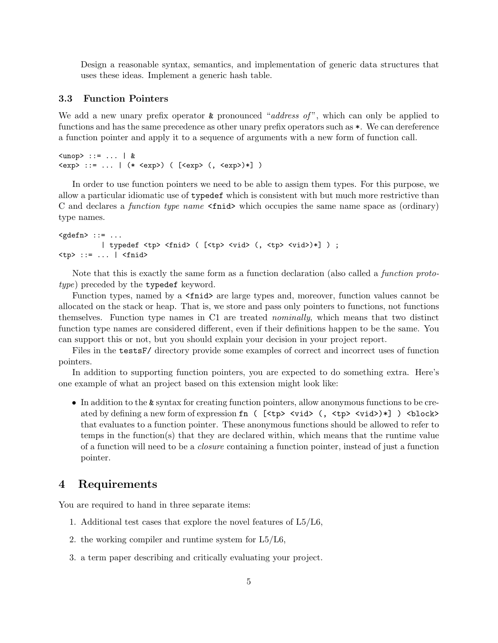Design a reasonable syntax, semantics, and implementation of generic data structures that uses these ideas. Implement a generic hash table.

#### 3.3 Function Pointers

We add a new unary prefix operator  $\&$  pronounced "address of", which can only be applied to functions and has the same precedence as other unary prefix operators such as \*. We can dereference a function pointer and apply it to a sequence of arguments with a new form of function call.

```
\langle \text{unop} \rangle ::= ... | &
<exp> ::= ... | (* <exp>) ( [<exp> (, <exp>)*] )
```
In order to use function pointers we need to be able to assign them types. For this purpose, we allow a particular idiomatic use of typedef which is consistent with but much more restrictive than C and declares a function type name <fnid> which occupies the same name space as (ordinary) type names.

```
\langle \text{gdefn} \rangle ::= ...
            | typedef <tp> <fnid> ( [<tp> <vid> (, <tp> <vid>)*] ) ;
<tp> ::= ... | <fnid>
```
Note that this is exactly the same form as a function declaration (also called a function prototype) preceded by the typedef keyword.

Function types, named by a  $\epsilon$ fnid are large types and, moreover, function values cannot be allocated on the stack or heap. That is, we store and pass only pointers to functions, not functions themselves. Function type names in C1 are treated nominally, which means that two distinct function type names are considered different, even if their definitions happen to be the same. You can support this or not, but you should explain your decision in your project report.

Files in the testsF/ directory provide some examples of correct and incorrect uses of function pointers.

In addition to supporting function pointers, you are expected to do something extra. Here's one example of what an project based on this extension might look like:

• In addition to the & syntax for creating function pointers, allow anonymous functions to be created by defining a new form of expression fn (  $[\langle tp \rangle \langle vid \rangle \langle (t \rangle \langle style="script: reds{+} \rangle \langle valid \rangle \rangle)]$  ) <br/>block> that evaluates to a function pointer. These anonymous functions should be allowed to refer to temps in the function(s) that they are declared within, which means that the runtime value of a function will need to be a closure containing a function pointer, instead of just a function pointer.

# 4 Requirements

You are required to hand in three separate items:

- 1. Additional test cases that explore the novel features of L5/L6,
- 2. the working compiler and runtime system for  $L5/L6$ ,
- 3. a term paper describing and critically evaluating your project.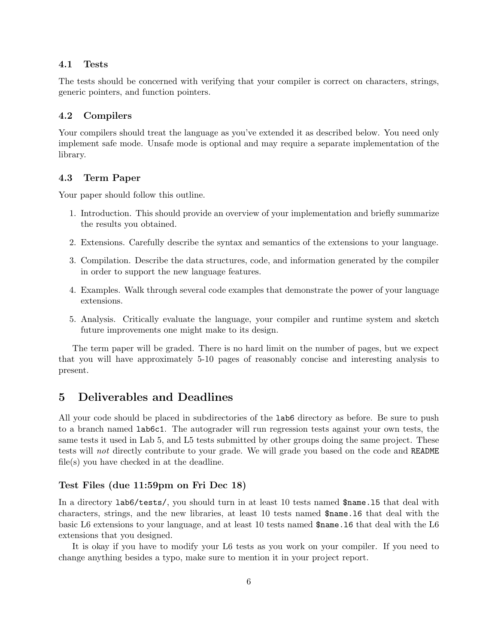#### 4.1 Tests

The tests should be concerned with verifying that your compiler is correct on characters, strings, generic pointers, and function pointers.

#### 4.2 Compilers

Your compilers should treat the language as you've extended it as described below. You need only implement safe mode. Unsafe mode is optional and may require a separate implementation of the library.

#### 4.3 Term Paper

Your paper should follow this outline.

- 1. Introduction. This should provide an overview of your implementation and briefly summarize the results you obtained.
- 2. Extensions. Carefully describe the syntax and semantics of the extensions to your language.
- 3. Compilation. Describe the data structures, code, and information generated by the compiler in order to support the new language features.
- 4. Examples. Walk through several code examples that demonstrate the power of your language extensions.
- 5. Analysis. Critically evaluate the language, your compiler and runtime system and sketch future improvements one might make to its design.

The term paper will be graded. There is no hard limit on the number of pages, but we expect that you will have approximately 5-10 pages of reasonably concise and interesting analysis to present.

# 5 Deliverables and Deadlines

All your code should be placed in subdirectories of the lab6 directory as before. Be sure to push to a branch named lab6c1. The autograder will run regression tests against your own tests, the same tests it used in Lab 5, and L5 tests submitted by other groups doing the same project. These tests will not directly contribute to your grade. We will grade you based on the code and README file(s) you have checked in at the deadline.

#### Test Files (due 11:59pm on Fri Dec 18)

In a directory lab6/tests/, you should turn in at least 10 tests named \$name.l5 that deal with characters, strings, and the new libraries, at least 10 tests named \$name.l6 that deal with the basic L6 extensions to your language, and at least 10 tests named \$name.l6 that deal with the L6 extensions that you designed.

It is okay if you have to modify your L6 tests as you work on your compiler. If you need to change anything besides a typo, make sure to mention it in your project report.